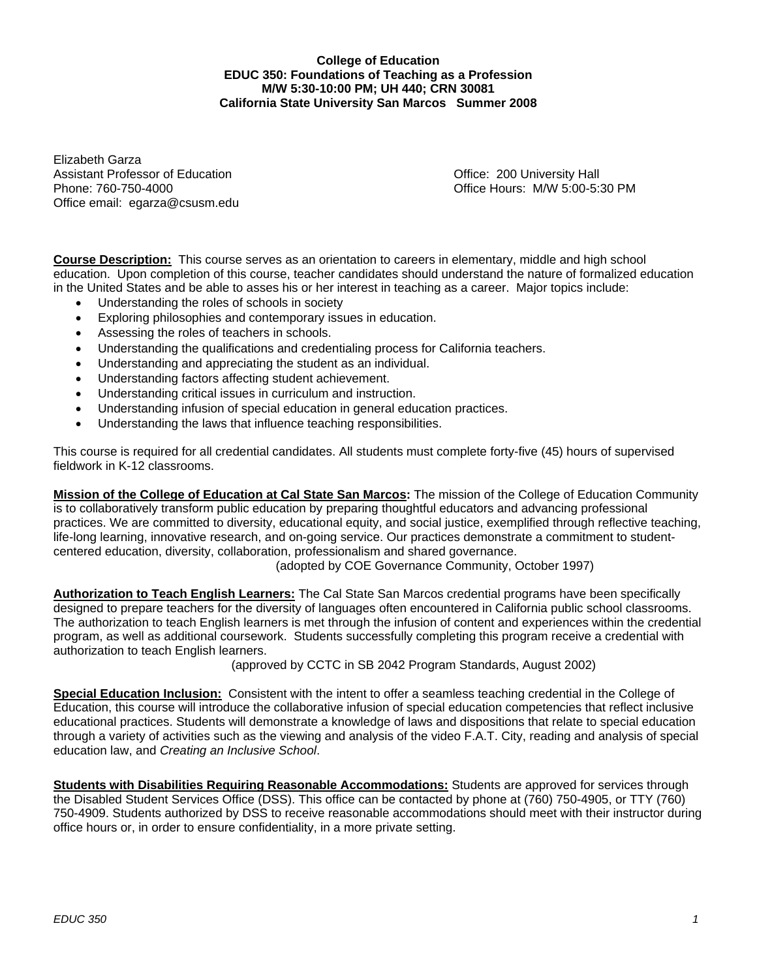#### **College of Education EDUC 350: Foundations of Teaching as a Profession M/W 5:30-10:00 PM; UH 440; CRN 30081 California State University San Marcos Summer 2008**

Elizabeth Garza Assistant Professor of Education **Containers** Containers Containers Office: 200 University Hall Phone: 760-750-4000 Office Hours: M/W 5:00-5:30 PM Office email: egarza@csusm.edu

**Course Description:** This course serves as an orientation to careers in elementary, middle and high school education. Upon completion of this course, teacher candidates should understand the nature of formalized education in the United States and be able to asses his or her interest in teaching as a career. Major topics include:

- Understanding the roles of schools in society
- Exploring philosophies and contemporary issues in education.
- Assessing the roles of teachers in schools.
- Understanding the qualifications and credentialing process for California teachers.
- Understanding and appreciating the student as an individual.
- Understanding factors affecting student achievement.
- Understanding critical issues in curriculum and instruction.
- Understanding infusion of special education in general education practices.
- Understanding the laws that influence teaching responsibilities.

This course is required for all credential candidates. All students must complete forty-five (45) hours of supervised fieldwork in K-12 classrooms.

**Mission of the College of Education at Cal State San Marcos:** The mission of the College of Education Community is to collaboratively transform public education by preparing thoughtful educators and advancing professional practices. We are committed to diversity, educational equity, and social justice, exemplified through reflective teaching, life-long learning, innovative research, and on-going service. Our practices demonstrate a commitment to studentcentered education, diversity, collaboration, professionalism and shared governance.

(adopted by COE Governance Community, October 1997)

**Authorization to Teach English Learners:** The Cal State San Marcos credential programs have been specifically designed to prepare teachers for the diversity of languages often encountered in California public school classrooms. The authorization to teach English learners is met through the infusion of content and experiences within the credential program, as well as additional coursework. Students successfully completing this program receive a credential with authorization to teach English learners.

(approved by CCTC in SB 2042 Program Standards, August 2002)

**Special Education Inclusion:** Consistent with the intent to offer a seamless teaching credential in the College of Education, this course will introduce the collaborative infusion of special education competencies that reflect inclusive educational practices. Students will demonstrate a knowledge of laws and dispositions that relate to special education through a variety of activities such as the viewing and analysis of the video F.A.T. City, reading and analysis of special education law, and *Creating an Inclusive School*.

**Students with Disabilities Requiring Reasonable Accommodations:** Students are approved for services through the Disabled Student Services Office (DSS). This office can be contacted by phone at (760) 750-4905, or TTY (760) 750-4909. Students authorized by DSS to receive reasonable accommodations should meet with their instructor during office hours or, in order to ensure confidentiality, in a more private setting.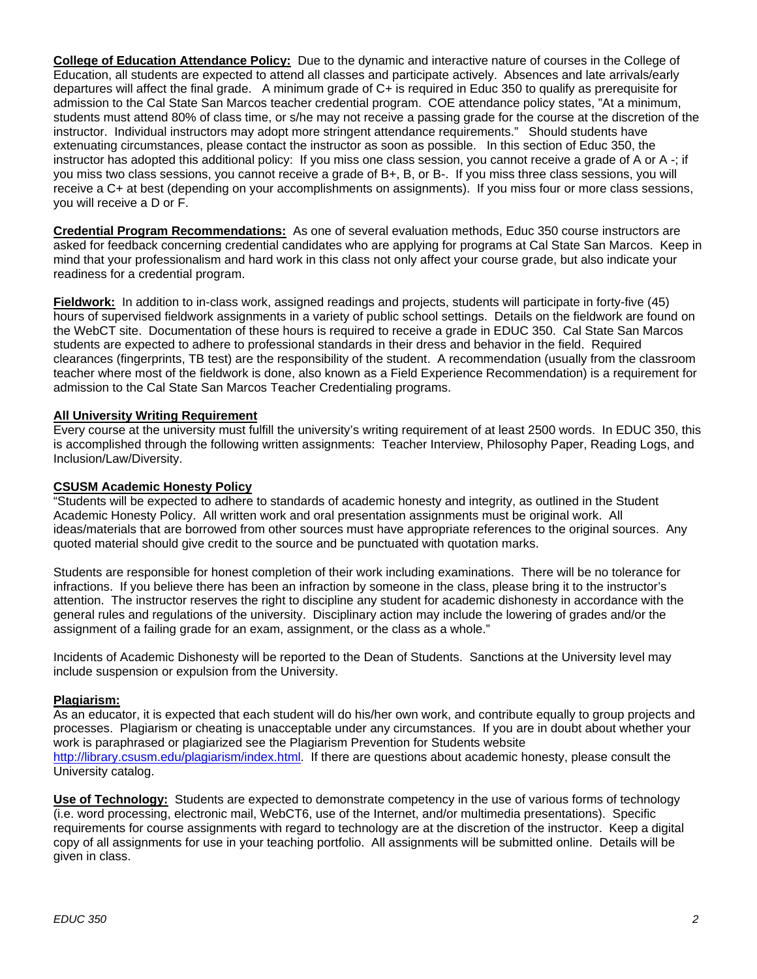**College of Education Attendance Policy:** Due to the dynamic and interactive nature of courses in the College of Education, all students are expected to attend all classes and participate actively. Absences and late arrivals/early departures will affect the final grade. A minimum grade of C+ is required in Educ 350 to qualify as prerequisite for admission to the Cal State San Marcos teacher credential program. COE attendance policy states, "At a minimum, students must attend 80% of class time, or s/he may not receive a passing grade for the course at the discretion of the instructor. Individual instructors may adopt more stringent attendance requirements." Should students have extenuating circumstances, please contact the instructor as soon as possible. In this section of Educ 350, the instructor has adopted this additional policy: If you miss one class session, you cannot receive a grade of A or A -; if you miss two class sessions, you cannot receive a grade of B+, B, or B-. If you miss three class sessions, you will receive a C+ at best (depending on your accomplishments on assignments). If you miss four or more class sessions, you will receive a D or F.

**Credential Program Recommendations:** As one of several evaluation methods, Educ 350 course instructors are asked for feedback concerning credential candidates who are applying for programs at Cal State San Marcos. Keep in mind that your professionalism and hard work in this class not only affect your course grade, but also indicate your readiness for a credential program.

**Fieldwork:** In addition to in-class work, assigned readings and projects, students will participate in forty-five (45) hours of supervised fieldwork assignments in a variety of public school settings. Details on the fieldwork are found on the WebCT site. Documentation of these hours is required to receive a grade in EDUC 350. Cal State San Marcos students are expected to adhere to professional standards in their dress and behavior in the field. Required clearances (fingerprints, TB test) are the responsibility of the student. A recommendation (usually from the classroom teacher where most of the fieldwork is done, also known as a Field Experience Recommendation) is a requirement for admission to the Cal State San Marcos Teacher Credentialing programs.

### **All University Writing Requirement**

Every course at the university must fulfill the university's writing requirement of at least 2500 words. In EDUC 350, this is accomplished through the following written assignments: Teacher Interview, Philosophy Paper, Reading Logs, and Inclusion/Law/Diversity.

#### **CSUSM Academic Honesty Policy**

"Students will be expected to adhere to standards of academic honesty and integrity, as outlined in the Student Academic Honesty Policy. All written work and oral presentation assignments must be original work. All ideas/materials that are borrowed from other sources must have appropriate references to the original sources. Any quoted material should give credit to the source and be punctuated with quotation marks.

Students are responsible for honest completion of their work including examinations. There will be no tolerance for infractions. If you believe there has been an infraction by someone in the class, please bring it to the instructor's attention. The instructor reserves the right to discipline any student for academic dishonesty in accordance with the general rules and regulations of the university. Disciplinary action may include the lowering of grades and/or the assignment of a failing grade for an exam, assignment, or the class as a whole."

Incidents of Academic Dishonesty will be reported to the Dean of Students. Sanctions at the University level may include suspension or expulsion from the University.

#### **Plagiarism:**

As an educator, it is expected that each student will do his/her own work, and contribute equally to group projects and processes. Plagiarism or cheating is unacceptable under any circumstances. If you are in doubt about whether your work is paraphrased or plagiarized see the Plagiarism Prevention for Students website http://library.csusm.edu/plagiarism/index.html. If there are questions about academic honesty, please consult the University catalog.

**Use of Technology:** Students are expected to demonstrate competency in the use of various forms of technology (i.e. word processing, electronic mail, WebCT6, use of the Internet, and/or multimedia presentations). Specific requirements for course assignments with regard to technology are at the discretion of the instructor. Keep a digital copy of all assignments for use in your teaching portfolio. All assignments will be submitted online. Details will be given in class.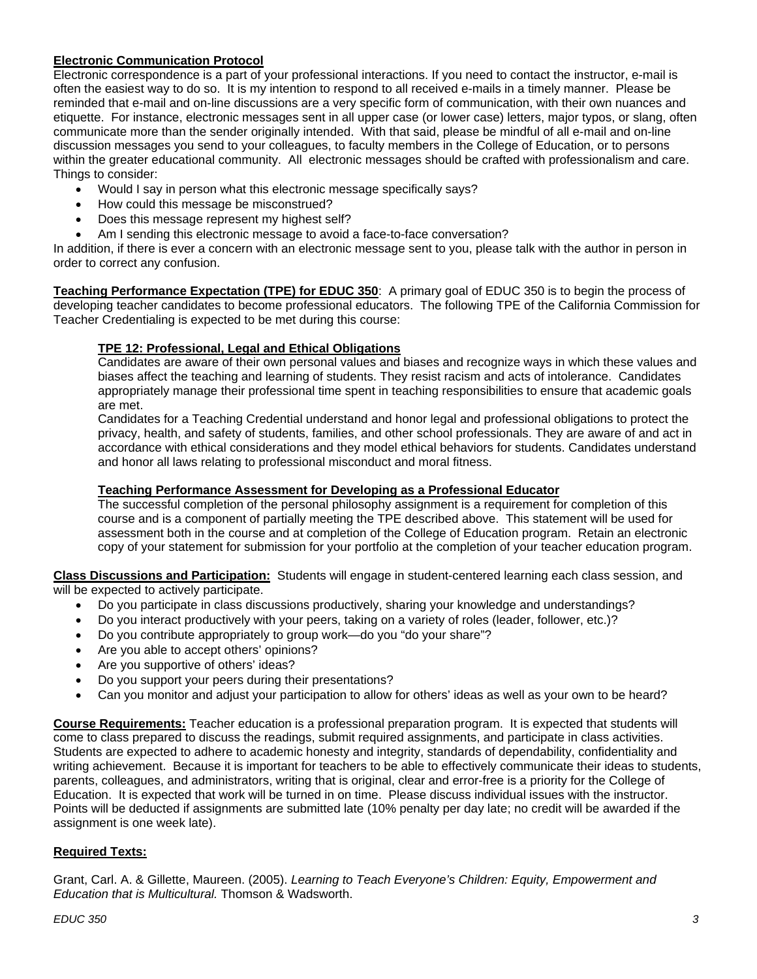### **Electronic Communication Protocol**

Electronic correspondence is a part of your professional interactions. If you need to contact the instructor, e-mail is often the easiest way to do so. It is my intention to respond to all received e-mails in a timely manner. Please be reminded that e-mail and on-line discussions are a very specific form of communication, with their own nuances and etiquette. For instance, electronic messages sent in all upper case (or lower case) letters, major typos, or slang, often communicate more than the sender originally intended. With that said, please be mindful of all e-mail and on-line discussion messages you send to your colleagues, to faculty members in the College of Education, or to persons within the greater educational community. All electronic messages should be crafted with professionalism and care. Things to consider:

- Would I say in person what this electronic message specifically says?
- How could this message be misconstrued?
- Does this message represent my highest self?
- Am I sending this electronic message to avoid a face-to-face conversation?

In addition, if there is ever a concern with an electronic message sent to you, please talk with the author in person in order to correct any confusion.

**Teaching Performance Expectation (TPE) for EDUC 350**: A primary goal of EDUC 350 is to begin the process of developing teacher candidates to become professional educators. The following TPE of the California Commission for Teacher Credentialing is expected to be met during this course:

### **TPE 12: Professional, Legal and Ethical Obligations**

Candidates are aware of their own personal values and biases and recognize ways in which these values and biases affect the teaching and learning of students. They resist racism and acts of intolerance. Candidates appropriately manage their professional time spent in teaching responsibilities to ensure that academic goals are met.

Candidates for a Teaching Credential understand and honor legal and professional obligations to protect the privacy, health, and safety of students, families, and other school professionals. They are aware of and act in accordance with ethical considerations and they model ethical behaviors for students. Candidates understand and honor all laws relating to professional misconduct and moral fitness.

#### **Teaching Performance Assessment for Developing as a Professional Educator**

The successful completion of the personal philosophy assignment is a requirement for completion of this course and is a component of partially meeting the TPE described above. This statement will be used for assessment both in the course and at completion of the College of Education program. Retain an electronic copy of your statement for submission for your portfolio at the completion of your teacher education program.

**Class Discussions and Participation:** Students will engage in student-centered learning each class session, and will be expected to actively participate.

- Do you participate in class discussions productively, sharing your knowledge and understandings?
- Do you interact productively with your peers, taking on a variety of roles (leader, follower, etc.)?
- Do you contribute appropriately to group work—do you "do your share"?
- Are you able to accept others' opinions?
- Are you supportive of others' ideas?
- Do you support your peers during their presentations?
- Can you monitor and adjust your participation to allow for others' ideas as well as your own to be heard?

**Course Requirements:** Teacher education is a professional preparation program. It is expected that students will come to class prepared to discuss the readings, submit required assignments, and participate in class activities. Students are expected to adhere to academic honesty and integrity, standards of dependability, confidentiality and writing achievement. Because it is important for teachers to be able to effectively communicate their ideas to students, parents, colleagues, and administrators, writing that is original, clear and error-free is a priority for the College of Education. It is expected that work will be turned in on time. Please discuss individual issues with the instructor. Points will be deducted if assignments are submitted late (10% penalty per day late; no credit will be awarded if the assignment is one week late).

#### **Required Texts:**

Grant, Carl. A. & Gillette, Maureen. (2005). *Learning to Teach Everyone's Children: Equity, Empowerment and Education that is Multicultural.* Thomson & Wadsworth.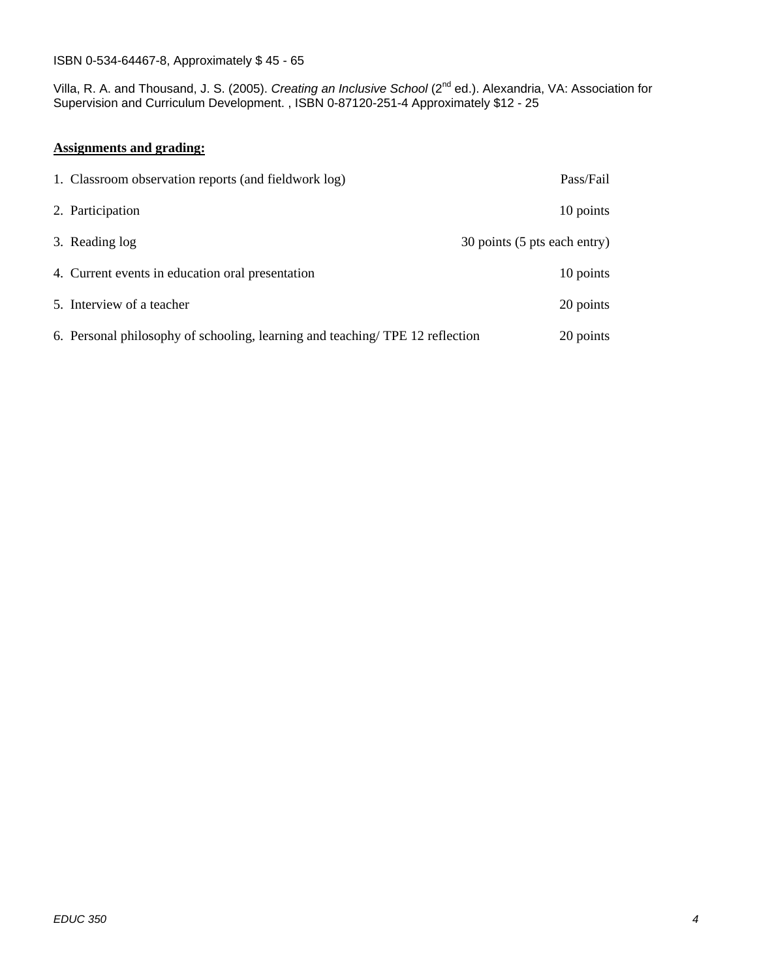#### ISBN 0-534-64467-8, Approximately \$ 45 - 65

Villa, R. A. and Thousand, J. S. (2005). *Creating an Inclusive School* (2nd ed.). Alexandria, VA: Association for Supervision and Curriculum Development. , ISBN 0-87120-251-4 Approximately \$12 - 25

#### **Assignments and grading:**

| 1. Classroom observation reports (and fieldwork log)                         | Pass/Fail                    |
|------------------------------------------------------------------------------|------------------------------|
| 2. Participation                                                             | 10 points                    |
| 3. Reading log                                                               | 30 points (5 pts each entry) |
| 4. Current events in education oral presentation                             | 10 points                    |
| 5. Interview of a teacher                                                    | 20 points                    |
| 6. Personal philosophy of schooling, learning and teaching/TPE 12 reflection | 20 points                    |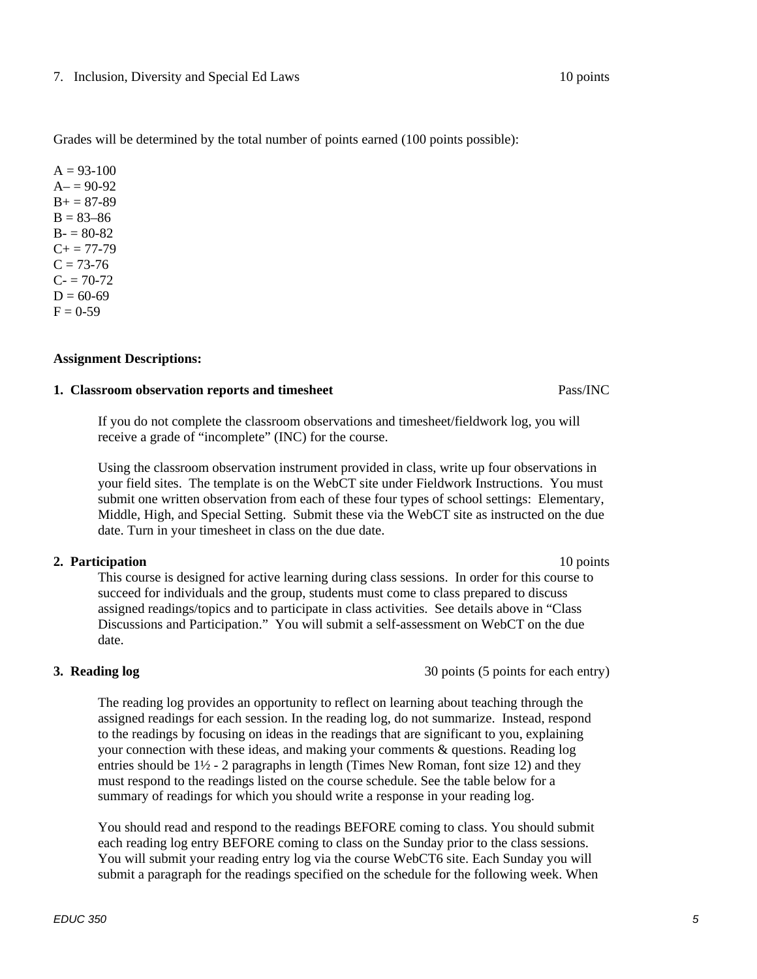#### 7. Inclusion, Diversity and Special Ed Laws 10 points

Grades will be determined by the total number of points earned (100 points possible):

 $A = 93-100$  $A = 90-92$  $B + 87-89$  $B = 83 - 86$  $B - 80 - 82$  $C+= 77-79$  $C = 73-76$  $C = 70-72$  $D = 60-69$  $F = 0-59$ 

#### **Assignment Descriptions:**

### **1. Classroom observation reports and timesheet** Pass **Pass/INC**

If you do not complete the classroom observations and timesheet/fieldwork log, you will receive a grade of "incomplete" (INC) for the course.

Using the classroom observation instrument provided in class, write up four observations in your field sites. The template is on the WebCT site under Fieldwork Instructions. You must submit one written observation from each of these four types of school settings: Elementary, Middle, High, and Special Setting. Submit these via the WebCT site as instructed on the due date. Turn in your timesheet in class on the due date.

### **2. Participation** 10 points **10 points**

This course is designed for active learning during class sessions. In order for this course to succeed for individuals and the group, students must come to class prepared to discuss assigned readings/topics and to participate in class activities. See details above in "Class Discussions and Participation." You will submit a self-assessment on WebCT on the due date.

The reading log provides an opportunity to reflect on learning about teaching through the assigned readings for each session. In the reading log, do not summarize. Instead, respond to the readings by focusing on ideas in the readings that are significant to you, explaining your connection with these ideas, and making your comments  $\&$  questions. Reading log entries should be  $1\frac{1}{2}$  - 2 paragraphs in length (Times New Roman, font size 12) and they must respond to the readings listed on the course schedule. See the table below for a summary of readings for which you should write a response in your reading log.

You should read and respond to the readings BEFORE coming to class. You should submit each reading log entry BEFORE coming to class on the Sunday prior to the class sessions. You will submit your reading entry log via the course WebCT6 site. Each Sunday you will submit a paragraph for the readings specified on the schedule for the following week. When

#### *EDUC 350* 5 **5**

# **3. Reading log** 30 points (5 points for each entry)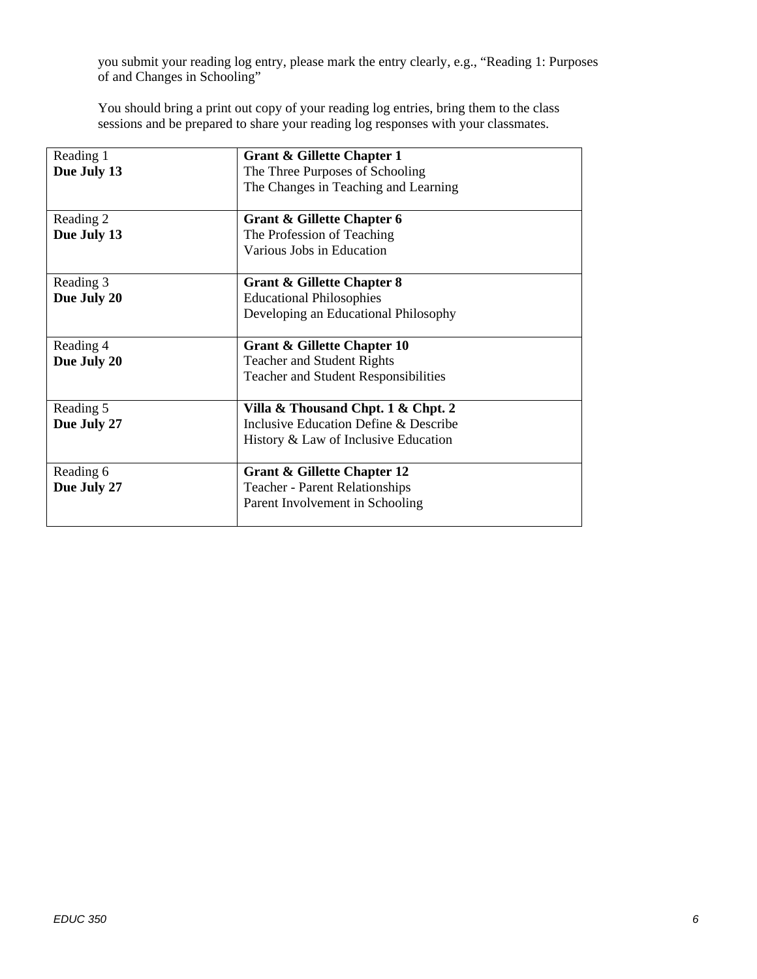you submit your reading log entry, please mark the entry clearly, e.g., "Reading 1: Purposes of and Changes in Schooling"

You should bring a print out copy of your reading log entries, bring them to the class sessions and be prepared to share your reading log responses with your classmates.

| Reading 1   | Grant & Gillette Chapter 1                  |  |
|-------------|---------------------------------------------|--|
| Due July 13 | The Three Purposes of Schooling             |  |
|             | The Changes in Teaching and Learning        |  |
|             |                                             |  |
| Reading 2   | Grant & Gillette Chapter 6                  |  |
| Due July 13 | The Profession of Teaching                  |  |
|             | Various Jobs in Education                   |  |
|             |                                             |  |
| Reading 3   | <b>Grant &amp; Gillette Chapter 8</b>       |  |
| Due July 20 | <b>Educational Philosophies</b>             |  |
|             | Developing an Educational Philosophy        |  |
|             |                                             |  |
| Reading 4   | Grant & Gillette Chapter 10                 |  |
| Due July 20 | <b>Teacher and Student Rights</b>           |  |
|             | <b>Teacher and Student Responsibilities</b> |  |
|             |                                             |  |
| Reading 5   | Villa & Thousand Chpt. 1 & Chpt. 2          |  |
| Due July 27 | Inclusive Education Define & Describe       |  |
|             | History & Law of Inclusive Education        |  |
| Reading 6   | <b>Grant &amp; Gillette Chapter 12</b>      |  |
| Due July 27 | <b>Teacher - Parent Relationships</b>       |  |
|             | Parent Involvement in Schooling             |  |
|             |                                             |  |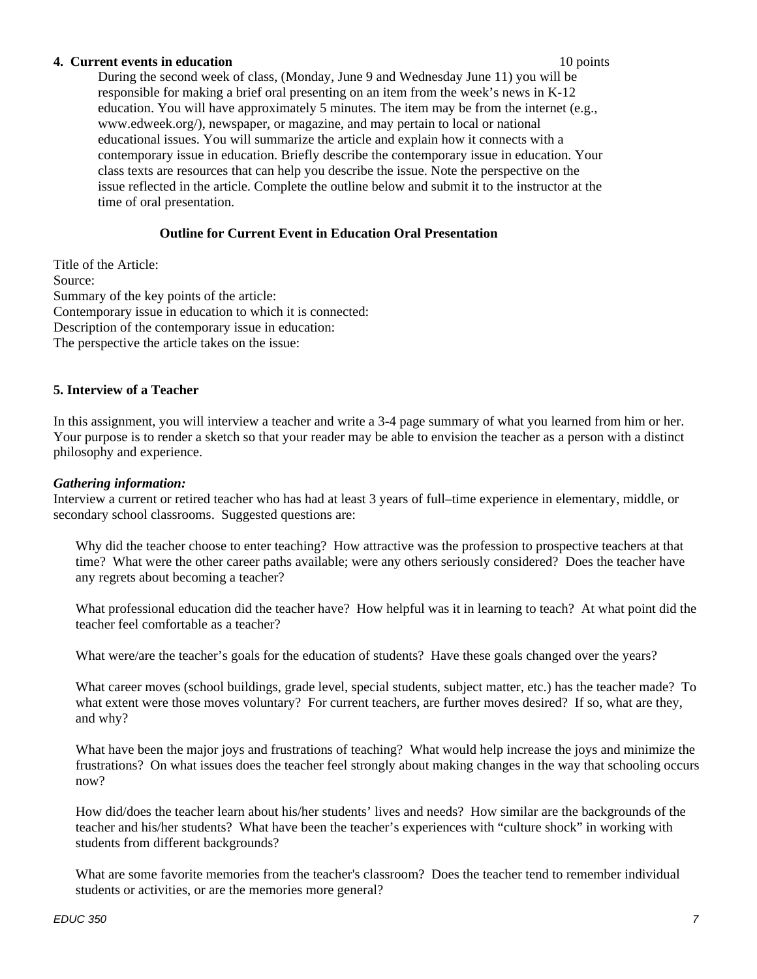#### **4. Current events in education** 10 points

During the second week of class, (Monday, June 9 and Wednesday June 11) you will be responsible for making a brief oral presenting on an item from the week's news in K-12 education. You will have approximately 5 minutes. The item may be from the internet (e.g., www.edweek.org/), newspaper, or magazine, and may pertain to local or national educational issues. You will summarize the article and explain how it connects with a contemporary issue in education. Briefly describe the contemporary issue in education. Your class texts are resources that can help you describe the issue. Note the perspective on the issue reflected in the article. Complete the outline below and submit it to the instructor at the time of oral presentation.

### **Outline for Current Event in Education Oral Presentation**

Title of the Article: Source: Summary of the key points of the article: Contemporary issue in education to which it is connected: Description of the contemporary issue in education: The perspective the article takes on the issue:

### **5. Interview of a Teacher**

In this assignment, you will interview a teacher and write a 3-4 page summary of what you learned from him or her. Your purpose is to render a sketch so that your reader may be able to envision the teacher as a person with a distinct philosophy and experience.

#### *Gathering information:*

Interview a current or retired teacher who has had at least 3 years of full–time experience in elementary, middle, or secondary school classrooms. Suggested questions are:

Why did the teacher choose to enter teaching? How attractive was the profession to prospective teachers at that time? What were the other career paths available; were any others seriously considered? Does the teacher have any regrets about becoming a teacher?

What professional education did the teacher have? How helpful was it in learning to teach? At what point did the teacher feel comfortable as a teacher?

What were/are the teacher's goals for the education of students? Have these goals changed over the years?

What career moves (school buildings, grade level, special students, subject matter, etc.) has the teacher made? To what extent were those moves voluntary? For current teachers, are further moves desired? If so, what are they, and why?

What have been the major joys and frustrations of teaching? What would help increase the joys and minimize the frustrations? On what issues does the teacher feel strongly about making changes in the way that schooling occurs now?

How did/does the teacher learn about his/her students' lives and needs? How similar are the backgrounds of the teacher and his/her students? What have been the teacher's experiences with "culture shock" in working with students from different backgrounds?

What are some favorite memories from the teacher's classroom? Does the teacher tend to remember individual students or activities, or are the memories more general?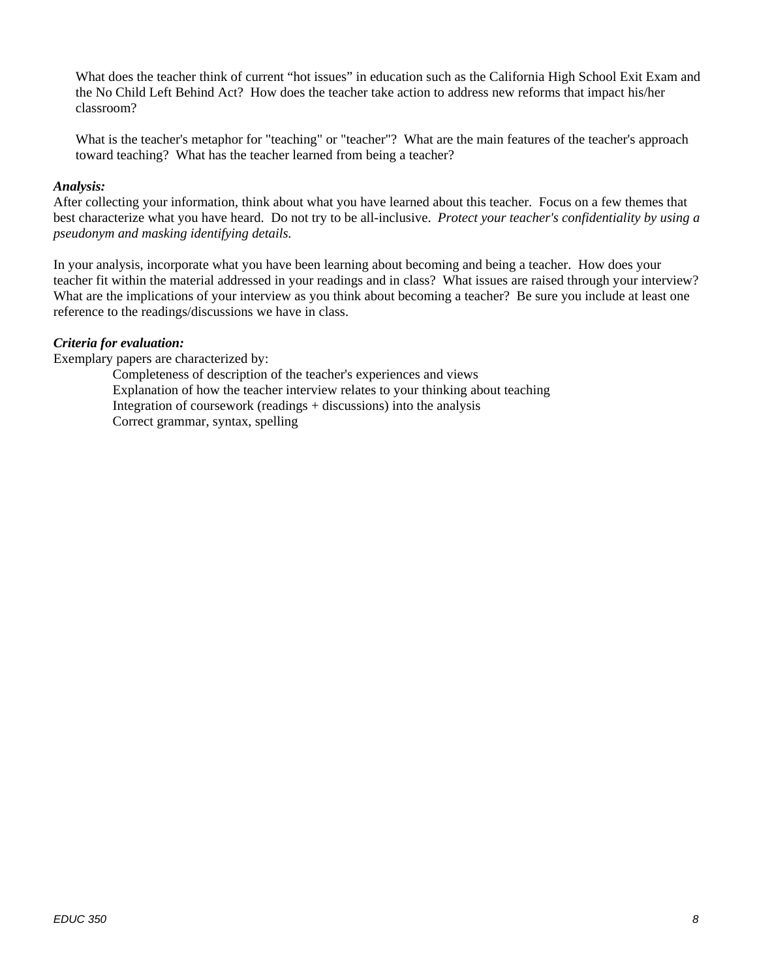What does the teacher think of current "hot issues" in education such as the California High School Exit Exam and the No Child Left Behind Act? How does the teacher take action to address new reforms that impact his/her classroom?

What is the teacher's metaphor for "teaching" or "teacher"? What are the main features of the teacher's approach toward teaching? What has the teacher learned from being a teacher?

### *Analysis:*

After collecting your information, think about what you have learned about this teacher. Focus on a few themes that best characterize what you have heard. Do not try to be all-inclusive. *Protect your teacher's confidentiality by using a pseudonym and masking identifying details.* 

In your analysis, incorporate what you have been learning about becoming and being a teacher. How does your teacher fit within the material addressed in your readings and in class? What issues are raised through your interview? What are the implications of your interview as you think about becoming a teacher? Be sure you include at least one reference to the readings/discussions we have in class.

#### *Criteria for evaluation:*

Exemplary papers are characterized by:

Completeness of description of the teacher's experiences and views Explanation of how the teacher interview relates to your thinking about teaching Integration of coursework (readings + discussions) into the analysis Correct grammar, syntax, spelling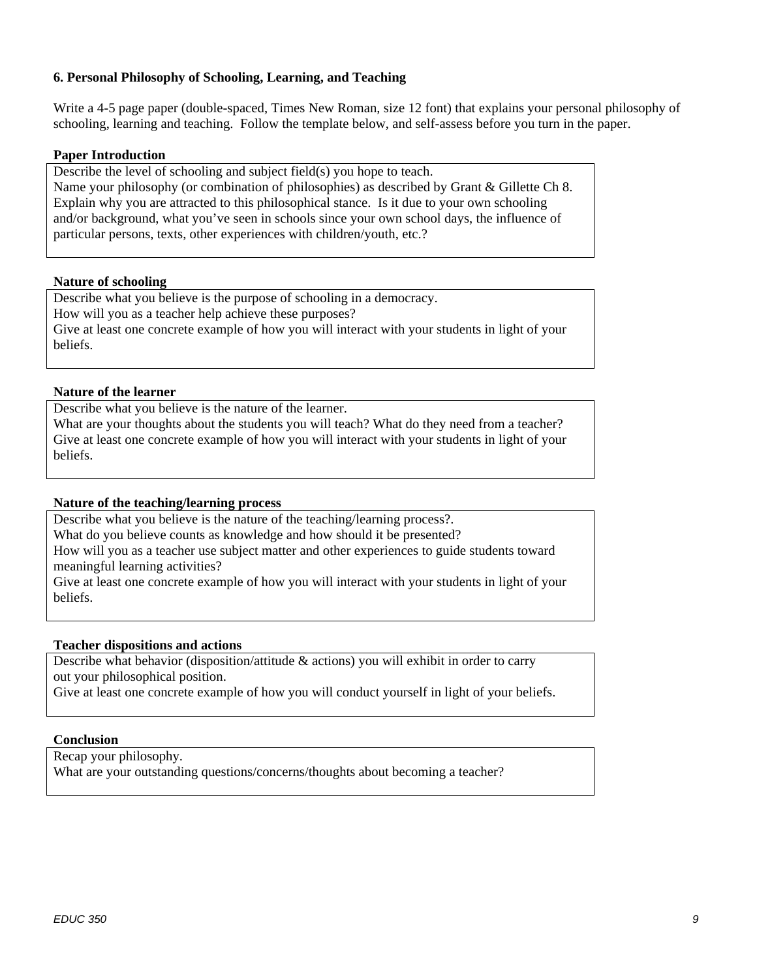### **6. Personal Philosophy of Schooling, Learning, and Teaching**

Write a 4-5 page paper (double-spaced, Times New Roman, size 12 font) that explains your personal philosophy of schooling, learning and teaching. Follow the template below, and self-assess before you turn in the paper.

#### **Paper Introduction**

Describe the level of schooling and subject field(s) you hope to teach. Name your philosophy (or combination of philosophies) as described by Grant & Gillette Ch 8. Explain why you are attracted to this philosophical stance. Is it due to your own schooling and/or background, what you've seen in schools since your own school days, the influence of particular persons, texts, other experiences with children/youth, etc.?

#### **Nature of schooling**

Describe what you believe is the purpose of schooling in a democracy. How will you as a teacher help achieve these purposes? Give at least one concrete example of how you will interact with your students in light of your beliefs.

#### **Nature of the learner**

Describe what you believe is the nature of the learner.

What are your thoughts about the students you will teach? What do they need from a teacher? Give at least one concrete example of how you will interact with your students in light of your beliefs.

### **Nature of the teaching/learning process**

Describe what you believe is the nature of the teaching/learning process?. What do you believe counts as knowledge and how should it be presented? How will you as a teacher use subject matter and other experiences to guide students toward meaningful learning activities?

Give at least one concrete example of how you will interact with your students in light of your beliefs.

### **Teacher dispositions and actions**

Describe what behavior (disposition/attitude & actions) you will exhibit in order to carry out your philosophical position.

Give at least one concrete example of how you will conduct yourself in light of your beliefs.

#### **Conclusion**

Recap your philosophy. What are your outstanding questions/concerns/thoughts about becoming a teacher?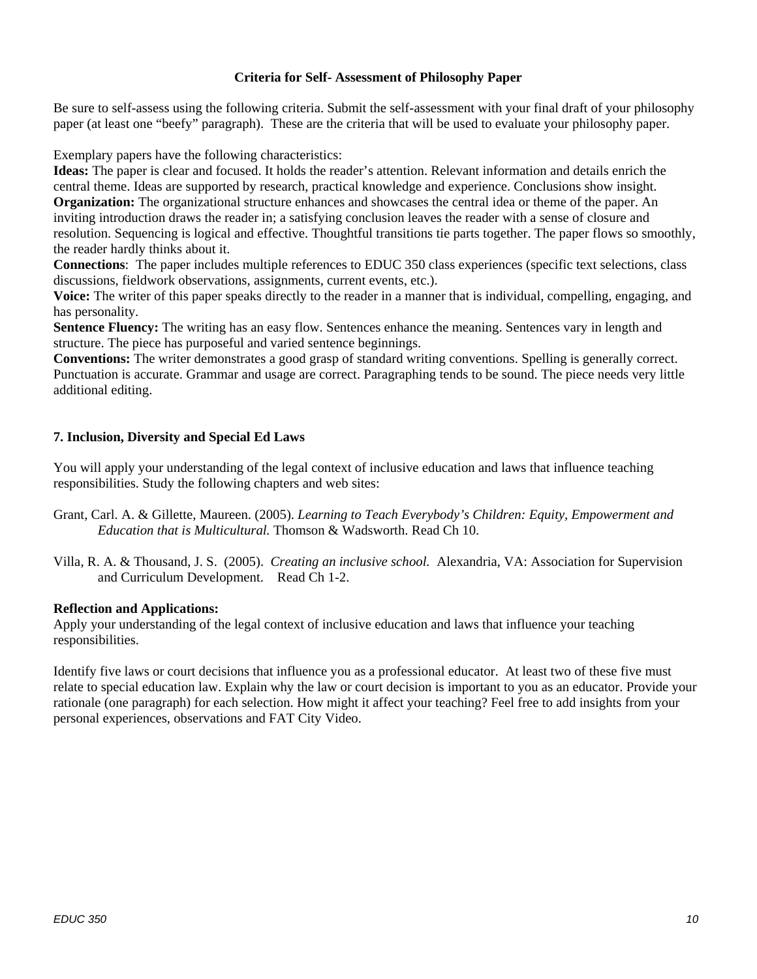#### **Criteria for Self- Assessment of Philosophy Paper**

Be sure to self-assess using the following criteria. Submit the self-assessment with your final draft of your philosophy paper (at least one "beefy" paragraph). These are the criteria that will be used to evaluate your philosophy paper.

Exemplary papers have the following characteristics:

**Ideas:** The paper is clear and focused. It holds the reader's attention. Relevant information and details enrich the central theme. Ideas are supported by research, practical knowledge and experience. Conclusions show insight. **Organization:** The organizational structure enhances and showcases the central idea or theme of the paper. An inviting introduction draws the reader in; a satisfying conclusion leaves the reader with a sense of closure and resolution. Sequencing is logical and effective. Thoughtful transitions tie parts together. The paper flows so smoothly, the reader hardly thinks about it.

**Connections**: The paper includes multiple references to EDUC 350 class experiences (specific text selections, class discussions, fieldwork observations, assignments, current events, etc.).

**Voice:** The writer of this paper speaks directly to the reader in a manner that is individual, compelling, engaging, and has personality.

**Sentence Fluency:** The writing has an easy flow. Sentences enhance the meaning. Sentences vary in length and structure. The piece has purposeful and varied sentence beginnings.

**Conventions:** The writer demonstrates a good grasp of standard writing conventions. Spelling is generally correct. Punctuation is accurate. Grammar and usage are correct. Paragraphing tends to be sound. The piece needs very little additional editing.

#### **7. Inclusion, Diversity and Special Ed Laws**

You will apply your understanding of the legal context of inclusive education and laws that influence teaching responsibilities. Study the following chapters and web sites:

- Grant, Carl. A. & Gillette, Maureen. (2005). *Learning to Teach Everybody's Children: Equity, Empowerment and Education that is Multicultural.* Thomson & Wadsworth. Read Ch 10.
- Villa, R. A. & Thousand, J. S. (2005). *Creating an inclusive school.* Alexandria, VA: Association for Supervision and Curriculum Development. Read Ch 1-2.

#### **Reflection and Applications:**

Apply your understanding of the legal context of inclusive education and laws that influence your teaching responsibilities.

Identify five laws or court decisions that influence you as a professional educator. At least two of these five must relate to special education law. Explain why the law or court decision is important to you as an educator. Provide your rationale (one paragraph) for each selection. How might it affect your teaching? Feel free to add insights from your personal experiences, observations and FAT City Video.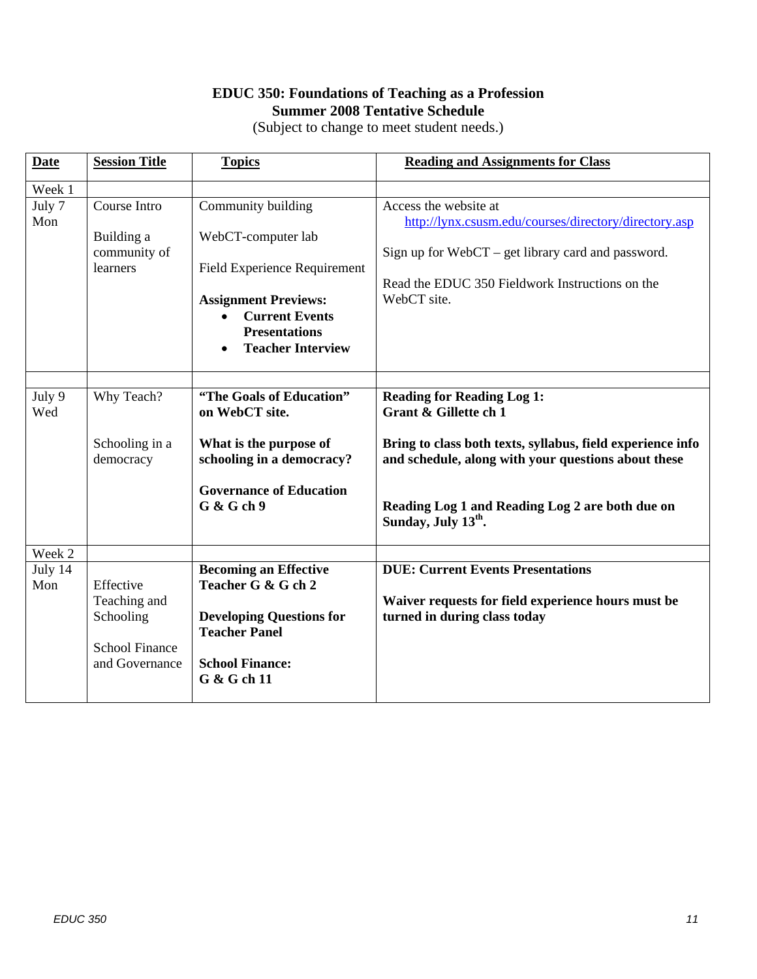## **EDUC 350: Foundations of Teaching as a Profession Summer 2008 Tentative Schedule**

(Subject to change to meet student needs.)

| <b>Date</b>    | <b>Session Title</b>                                                              | <b>Topics</b>                                                                                                                                                                                            | <b>Reading and Assignments for Class</b>                                                                                                                                                                                                                              |
|----------------|-----------------------------------------------------------------------------------|----------------------------------------------------------------------------------------------------------------------------------------------------------------------------------------------------------|-----------------------------------------------------------------------------------------------------------------------------------------------------------------------------------------------------------------------------------------------------------------------|
| Week 1         |                                                                                   |                                                                                                                                                                                                          |                                                                                                                                                                                                                                                                       |
| July 7<br>Mon  | Course Intro<br>Building a<br>community of<br>learners                            | Community building<br>WebCT-computer lab<br><b>Field Experience Requirement</b><br><b>Assignment Previews:</b><br><b>Current Events</b><br>$\bullet$<br><b>Presentations</b><br><b>Teacher Interview</b> | Access the website at<br>http://lynx.csusm.edu/courses/directory/directory.asp<br>Sign up for $WebCT - get$ library card and password.<br>Read the EDUC 350 Fieldwork Instructions on the<br>WebCT site.                                                              |
| July 9<br>Wed  | Why Teach?<br>Schooling in a<br>democracy                                         | "The Goals of Education"<br>on WebCT site.<br>What is the purpose of<br>schooling in a democracy?<br><b>Governance of Education</b><br>G & Gch9                                                          | <b>Reading for Reading Log 1:</b><br>Grant & Gillette ch 1<br>Bring to class both texts, syllabus, field experience info<br>and schedule, along with your questions about these<br>Reading Log 1 and Reading Log 2 are both due on<br>Sunday, July 13 <sup>th</sup> . |
| Week 2         |                                                                                   |                                                                                                                                                                                                          |                                                                                                                                                                                                                                                                       |
| July 14<br>Mon | Effective<br>Teaching and<br>Schooling<br><b>School Finance</b><br>and Governance | <b>Becoming an Effective</b><br>Teacher G & G ch 2<br><b>Developing Questions for</b><br><b>Teacher Panel</b><br><b>School Finance:</b><br>G & G ch 11                                                   | <b>DUE: Current Events Presentations</b><br>Waiver requests for field experience hours must be<br>turned in during class today                                                                                                                                        |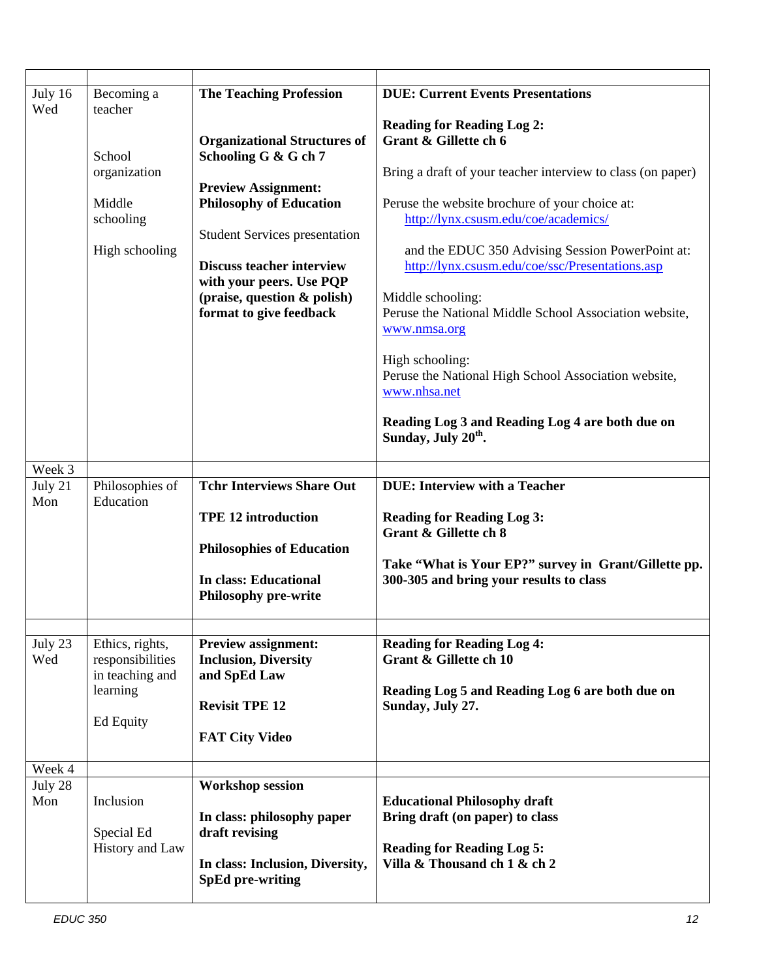| July 16<br>Wed | Becoming a<br>teacher<br>School<br>organization<br>Middle<br>schooling<br>High schooling | <b>The Teaching Profession</b><br><b>Organizational Structures of</b><br>Schooling G & G ch 7<br><b>Preview Assignment:</b><br><b>Philosophy of Education</b><br><b>Student Services presentation</b><br><b>Discuss teacher interview</b><br>with your peers. Use PQP<br>(praise, question & polish)<br>format to give feedback | <b>DUE: Current Events Presentations</b><br><b>Reading for Reading Log 2:</b><br>Grant & Gillette ch 6<br>Bring a draft of your teacher interview to class (on paper)<br>Peruse the website brochure of your choice at:<br>http://lynx.csusm.edu/coe/academics/<br>and the EDUC 350 Advising Session PowerPoint at:<br>http://lynx.csusm.edu/coe/ssc/Presentations.asp<br>Middle schooling:<br>Peruse the National Middle School Association website, |
|----------------|------------------------------------------------------------------------------------------|---------------------------------------------------------------------------------------------------------------------------------------------------------------------------------------------------------------------------------------------------------------------------------------------------------------------------------|-------------------------------------------------------------------------------------------------------------------------------------------------------------------------------------------------------------------------------------------------------------------------------------------------------------------------------------------------------------------------------------------------------------------------------------------------------|
|                |                                                                                          |                                                                                                                                                                                                                                                                                                                                 | www.nmsa.org<br>High schooling:<br>Peruse the National High School Association website,<br>www.nhsa.net<br>Reading Log 3 and Reading Log 4 are both due on<br>Sunday, July 20 <sup>th</sup> .                                                                                                                                                                                                                                                         |
| Week 3         |                                                                                          |                                                                                                                                                                                                                                                                                                                                 |                                                                                                                                                                                                                                                                                                                                                                                                                                                       |
| July 21<br>Mon | Philosophies of<br>Education                                                             | <b>Tchr Interviews Share Out</b><br><b>TPE 12 introduction</b><br><b>Philosophies of Education</b><br><b>In class: Educational</b><br><b>Philosophy pre-write</b>                                                                                                                                                               | <b>DUE:</b> Interview with a Teacher<br><b>Reading for Reading Log 3:</b><br><b>Grant &amp; Gillette ch 8</b><br>Take "What is Your EP?" survey in Grant/Gillette pp.<br>300-305 and bring your results to class                                                                                                                                                                                                                                      |
|                |                                                                                          |                                                                                                                                                                                                                                                                                                                                 |                                                                                                                                                                                                                                                                                                                                                                                                                                                       |
| July 23<br>Wed | Ethics, rights,<br>responsibilities<br>in teaching and<br>learning<br>Ed Equity          | <b>Preview assignment:</b><br><b>Inclusion, Diversity</b><br>and SpEd Law<br><b>Revisit TPE 12</b><br><b>FAT City Video</b>                                                                                                                                                                                                     | <b>Reading for Reading Log 4:</b><br>Grant & Gillette ch 10<br>Reading Log 5 and Reading Log 6 are both due on<br>Sunday, July 27.                                                                                                                                                                                                                                                                                                                    |
| Week 4         |                                                                                          |                                                                                                                                                                                                                                                                                                                                 |                                                                                                                                                                                                                                                                                                                                                                                                                                                       |
| July 28<br>Mon | Inclusion<br>Special Ed<br>History and Law                                               | <b>Workshop session</b><br>In class: philosophy paper<br>draft revising<br>In class: Inclusion, Diversity,<br><b>SpEd pre-writing</b>                                                                                                                                                                                           | <b>Educational Philosophy draft</b><br>Bring draft (on paper) to class<br><b>Reading for Reading Log 5:</b><br>Villa & Thousand ch 1 & ch 2                                                                                                                                                                                                                                                                                                           |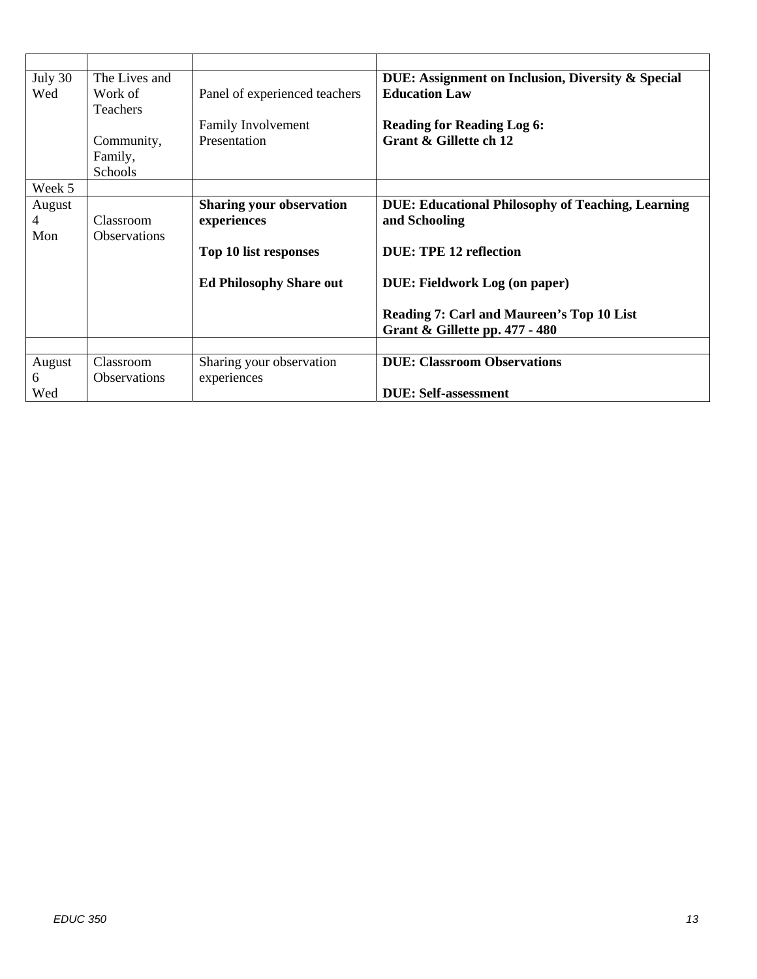| July 30 | The Lives and       |                                 | DUE: Assignment on Inclusion, Diversity & Special                           |
|---------|---------------------|---------------------------------|-----------------------------------------------------------------------------|
| Wed     | Work of             | Panel of experienced teachers   | <b>Education Law</b>                                                        |
|         | Teachers            |                                 |                                                                             |
|         |                     | Family Involvement              | <b>Reading for Reading Log 6:</b>                                           |
|         | Community,          | Presentation                    | Grant & Gillette ch 12                                                      |
|         | Family,<br>Schools  |                                 |                                                                             |
| Week 5  |                     |                                 |                                                                             |
| August  |                     | <b>Sharing your observation</b> | <b>DUE: Educational Philosophy of Teaching, Learning</b>                    |
| 4       | Classroom           | experiences                     | and Schooling                                                               |
| Mon     | <b>Observations</b> |                                 |                                                                             |
|         |                     | Top 10 list responses           | DUE: TPE 12 reflection                                                      |
|         |                     | <b>Ed Philosophy Share out</b>  | <b>DUE: Fieldwork Log (on paper)</b>                                        |
|         |                     |                                 | Reading 7: Carl and Maureen's Top 10 List<br>Grant & Gillette pp. 477 - 480 |
|         |                     |                                 |                                                                             |
| August  | Classroom           | Sharing your observation        | <b>DUE: Classroom Observations</b>                                          |
| 6       | Observations        | experiences                     |                                                                             |
| Wed     |                     |                                 | <b>DUE</b> : Self-assessment                                                |